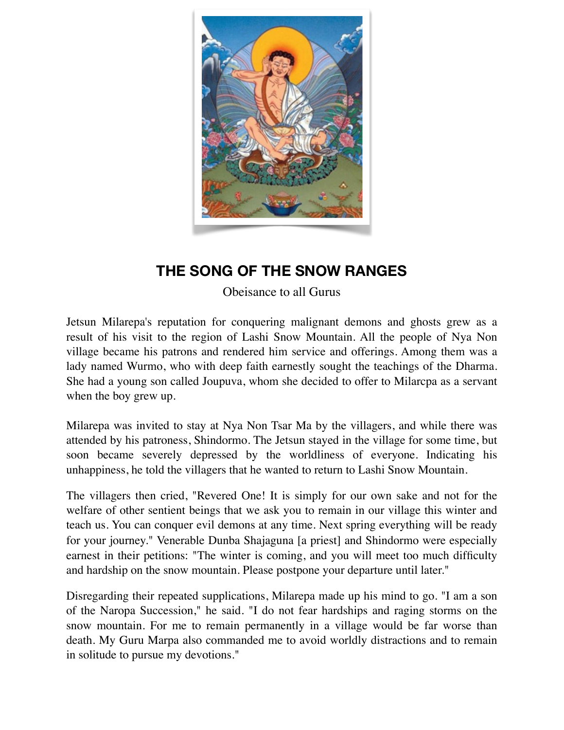

## **THE SONG OF THE SNOW RANGES**

Obeisance to all Gurus

Jetsun Milarepa's reputation for conquering malignant demons and ghosts grew as a result of his visit to the region of Lashi Snow Mountain. All the people of Nya Non village became his patrons and rendered him service and offerings. Among them was a lady named Wurmo, who with deep faith earnestly sought the teachings of the Dharma. She had a young son called Joupuva, whom she decided to offer to Milarcpa as a servant when the boy grew up.

Milarepa was invited to stay at Nya Non Tsar Ma by the villagers, and while there was attended by his patroness, Shindormo. The Jetsun stayed in the village for some time, but soon became severely depressed by the worldliness of everyone. Indicating his unhappiness, he told the villagers that he wanted to return to Lashi Snow Mountain.

The villagers then cried, "Revered One! It is simply for our own sake and not for the welfare of other sentient beings that we ask you to remain in our village this winter and teach us. You can conquer evil demons at any time. Next spring everything will be ready for your journey." Venerable Dunba Shajaguna [a priest] and Shindormo were especially earnest in their petitions: "The winter is coming, and you will meet too much difficulty and hardship on the snow mountain. Please postpone your departure until later."

Disregarding their repeated supplications, Milarepa made up his mind to go. "I am a son of the Naropa Succession," he said. "I do not fear hardships and raging storms on the snow mountain. For me to remain permanently in a village would be far worse than death. My Guru Marpa also commanded me to avoid worldly distractions and to remain in solitude to pursue my devotions."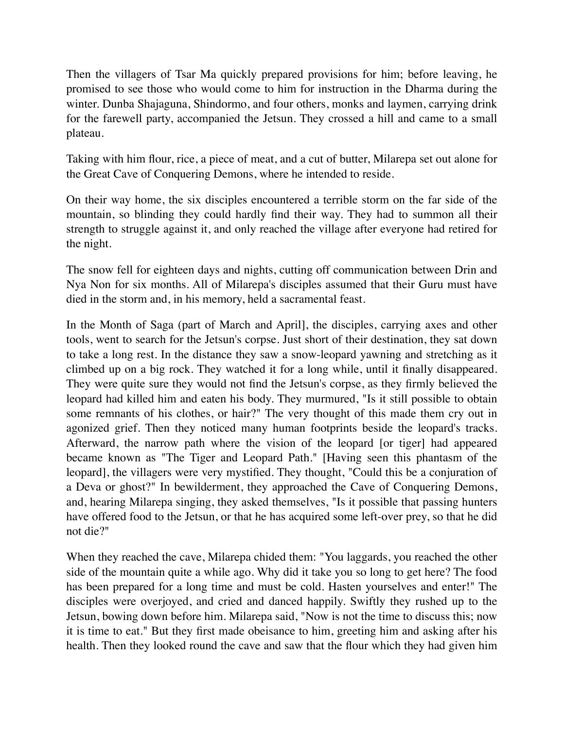Then the villagers of Tsar Ma quickly prepared provisions for him; before leaving, he promised to see those who would come to him for instruction in the Dharma during the winter. Dunba Shajaguna, Shindormo, and four others, monks and laymen, carrying drink for the farewell party, accompanied the Jetsun. They crossed a hill and came to a small plateau.

Taking with him flour, rice, a piece of meat, and a cut of butter, Milarepa set out alone for the Great Cave of Conquering Demons, where he intended to reside.

On their way home, the six disciples encountered a terrible storm on the far side of the mountain, so blinding they could hardly find their way. They had to summon all their strength to struggle against it, and only reached the village after everyone had retired for the night.

The snow fell for eighteen days and nights, cutting off communication between Drin and Nya Non for six months. All of Milarepa's disciples assumed that their Guru must have died in the storm and, in his memory, held a sacramental feast.

In the Month of Saga (part of March and April], the disciples, carrying axes and other tools, went to search for the Jetsun's corpse. Just short of their destination, they sat down to take a long rest. In the distance they saw a snow-leopard yawning and stretching as it climbed up on a big rock. They watched it for a long while, until it finally disappeared. They were quite sure they would not find the Jetsun's corpse, as they firmly believed the leopard had killed him and eaten his body. They murmured, "Is it still possible to obtain some remnants of his clothes, or hair?" The very thought of this made them cry out in agonized grief. Then they noticed many human footprints beside the leopard's tracks. Afterward, the narrow path where the vision of the leopard [or tiger] had appeared became known as "The Tiger and Leopard Path." [Having seen this phantasm of the leopard], the villagers were very mystified. They thought, "Could this be a conjuration of a Deva or ghost?" In bewilderment, they approached the Cave of Conquering Demons, and, hearing Milarepa singing, they asked themselves, "Is it possible that passing hunters have offered food to the Jetsun, or that he has acquired some left-over prey, so that he did not die?"

When they reached the cave, Milarepa chided them: "You laggards, you reached the other side of the mountain quite a while ago. Why did it take you so long to get here? The food has been prepared for a long time and must be cold. Hasten yourselves and enter!" The disciples were overjoyed, and cried and danced happily. Swiftly they rushed up to the Jetsun, bowing down before him. Milarepa said, "Now is not the time to discuss this; now it is time to eat." But they first made obeisance to him, greeting him and asking after his health. Then they looked round the cave and saw that the flour which they had given him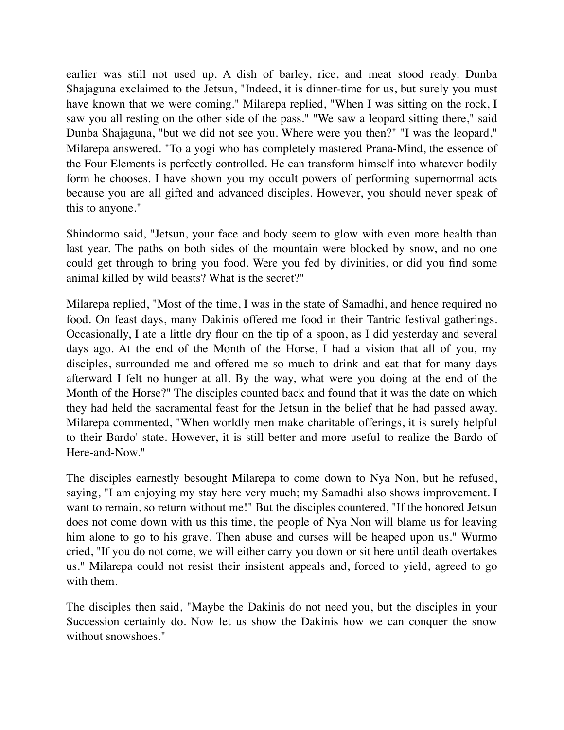earlier was still not used up. A dish of barley, rice, and meat stood ready. Dunba Shajaguna exclaimed to the Jetsun, "Indeed, it is dinner-time for us, but surely you must have known that we were coming." Milarepa replied, "When I was sitting on the rock, I saw you all resting on the other side of the pass." "We saw a leopard sitting there," said Dunba Shajaguna, "but we did not see you. Where were you then?" "I was the leopard," Milarepa answered. "To a yogi who has completely mastered Prana-Mind, the essence of the Four Elements is perfectly controlled. He can transform himself into whatever bodily form he chooses. I have shown you my occult powers of performing supernormal acts because you are all gifted and advanced disciples. However, you should never speak of this to anyone."

Shindormo said, "Jetsun, your face and body seem to glow with even more health than last year. The paths on both sides of the mountain were blocked by snow, and no one could get through to bring you food. Were you fed by divinities, or did you find some animal killed by wild beasts? What is the secret?"

Milarepa replied, "Most of the time, I was in the state of Samadhi, and hence required no food. On feast days, many Dakinis offered me food in their Tantric festival gatherings. Occasionally, I ate a little dry flour on the tip of a spoon, as I did yesterday and several days ago. At the end of the Month of the Horse, I had a vision that all of you, my disciples, surrounded me and offered me so much to drink and eat that for many days afterward I felt no hunger at all. By the way, what were you doing at the end of the Month of the Horse?" The disciples counted back and found that it was the date on which they had held the sacramental feast for the Jetsun in the belief that he had passed away. Milarepa commented, "When worldly men make charitable offerings, it is surely helpful to their Bardo' state. However, it is still better and more useful to realize the Bardo of Here-and-Now."

The disciples earnestly besought Milarepa to come down to Nya Non, but he refused, saying, "I am enjoying my stay here very much; my Samadhi also shows improvement. I want to remain, so return without me!" But the disciples countered, "If the honored Jetsun does not come down with us this time, the people of Nya Non will blame us for leaving him alone to go to his grave. Then abuse and curses will be heaped upon us." Wurmo cried, "If you do not come, we will either carry you down or sit here until death overtakes us." Milarepa could not resist their insistent appeals and, forced to yield, agreed to go with them.

The disciples then said, "Maybe the Dakinis do not need you, but the disciples in your Succession certainly do. Now let us show the Dakinis how we can conquer the snow without snowshoes."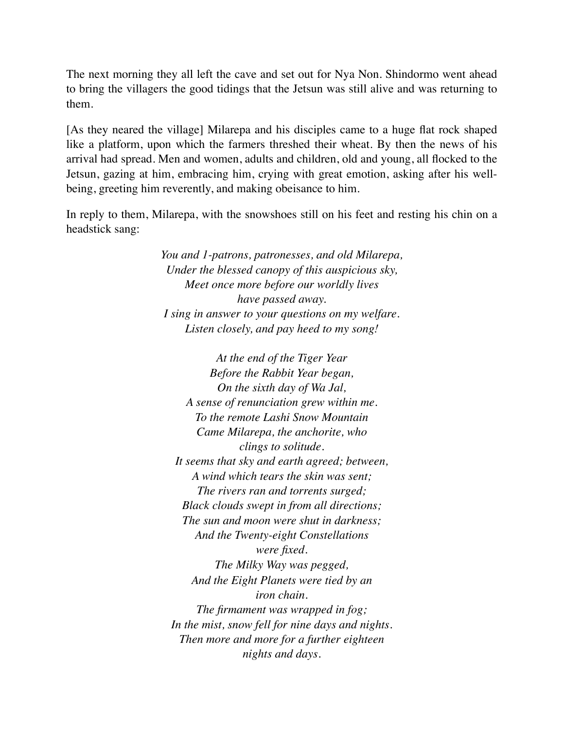The next morning they all left the cave and set out for Nya Non. Shindormo went ahead to bring the villagers the good tidings that the Jetsun was still alive and was returning to them.

[As they neared the village] Milarepa and his disciples came to a huge flat rock shaped like a platform, upon which the farmers threshed their wheat. By then the news of his arrival had spread. Men and women, adults and children, old and young, all flocked to the Jetsun, gazing at him, embracing him, crying with great emotion, asking after his wellbeing, greeting him reverently, and making obeisance to him.

In reply to them, Milarepa, with the snowshoes still on his feet and resting his chin on a headstick sang:

> *You and 1-patrons, patronesses, and old Milarepa, Under the blessed canopy of this auspicious sky, Meet once more before our worldly lives have passed away. I sing in answer to your questions on my welfare. Listen closely, and pay heed to my song!*

*At the end of the Tiger Year Before the Rabbit Year began, On the sixth day of Wa Jal, A sense of renunciation grew within me. To the remote Lashi Snow Mountain Came Milarepa, the anchorite, who clings to solitude. It seems that sky and earth agreed; between, A wind which tears the skin was sent; The rivers ran and torrents surged; Black clouds swept in from all directions; The sun and moon were shut in darkness; And the Twenty-eight Constellations were fixed. The Milky Way was pegged, And the Eight Planets were tied by an iron chain. The firmament was wrapped in fog; In the mist, snow fell for nine days and nights. Then more and more for a further eighteen nights and days.*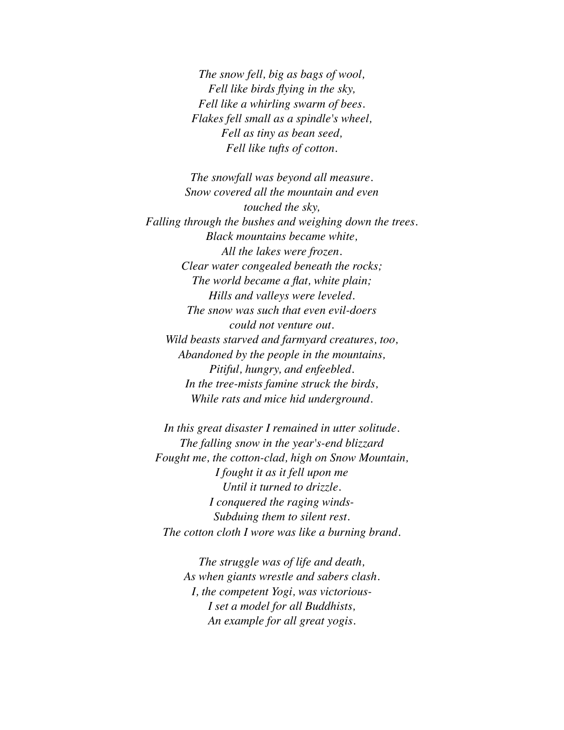*The snow fell, big as bags of wool, Fell like birds flying in the sky, Fell like a whirling swarm of bees. Flakes fell small as a spindle's wheel, Fell as tiny as bean seed, Fell like tufts of cotton.* 

*The snowfall was beyond all measure. Snow covered all the mountain and even touched the sky, Falling through the bushes and weighing down the trees. Black mountains became white, All the lakes were frozen. Clear water congealed beneath the rocks; The world became a flat, white plain; Hills and valleys were leveled. The snow was such that even evil-doers could not venture out. Wild beasts starved and farmyard creatures, too, Abandoned by the people in the mountains, Pitiful, hungry, and enfeebled. In the tree-mists famine struck the birds, While rats and mice hid underground.* 

*In this great disaster I remained in utter solitude. The falling snow in the year's-end blizzard Fought me, the cotton-clad, high on Snow Mountain, I fought it as it fell upon me Until it turned to drizzle. I conquered the raging winds-Subduing them to silent rest. The cotton cloth I wore was like a burning brand.* 

> *The struggle was of life and death, As when giants wrestle and sabers clash. I, the competent Yogi, was victorious-I set a model for all Buddhists, An example for all great yogis.*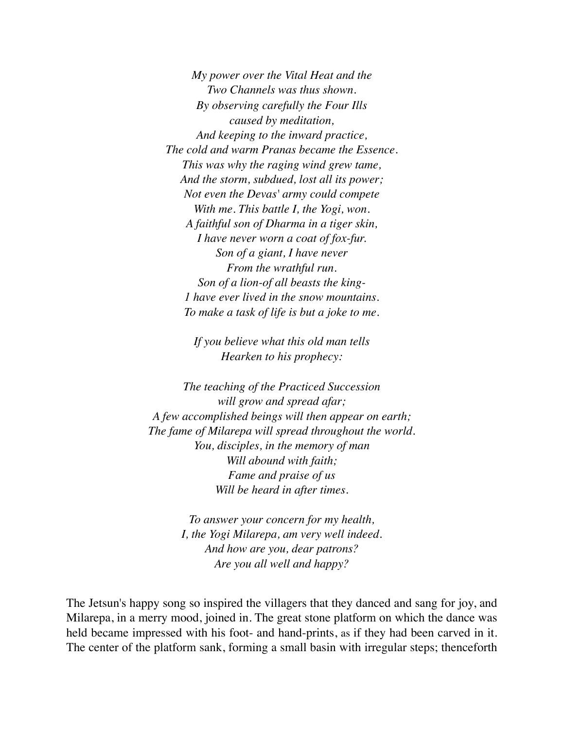*My power over the Vital Heat and the Two Channels was thus shown. By observing carefully the Four Ills caused by meditation, And keeping to the inward practice, The cold and warm Pranas became the Essence. This was why the raging wind grew tame, And the storm, subdued, lost all its power; Not even the Devas' army could compete With me. This battle I, the Yogi, won. A faithful son of Dharma in a tiger skin, I have never worn a coat of fox-fur. Son of a giant, I have never From the wrathful run. Son of a lion-of all beasts the king-1 have ever lived in the snow mountains. To make a task of life is but a joke to me.* 

> *If you believe what this old man tells Hearken to his prophecy:*

*The teaching of the Practiced Succession will grow and spread afar; A few accomplished beings will then appear on earth; The fame of Milarepa will spread throughout the world. You, disciples, in the memory of man Will abound with faith; Fame and praise of us Will be heard in after times.* 

> *To answer your concern for my health, I, the Yogi Milarepa, am very well indeed. And how are you, dear patrons? Are you all well and happy?*

The Jetsun's happy song so inspired the villagers that they danced and sang for joy, and Milarepa, in a merry mood, joined in. The great stone platform on which the dance was held became impressed with his foot- and hand-prints, as if they had been carved in it. The center of the platform sank, forming a small basin with irregular steps; thenceforth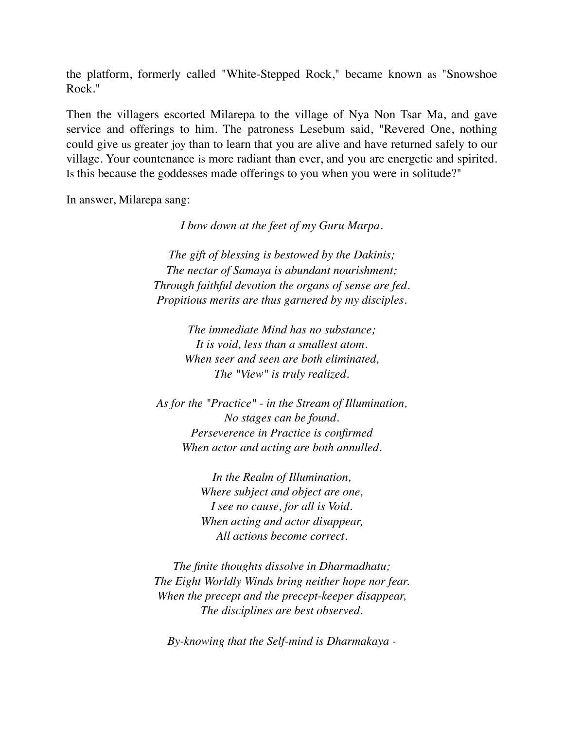the platform, formerly called "White-Stepped Rock," became known as "Snowshoe Rock."

Then the villagers escorted Milarepa to the village of Nya Non Tsar Ma, and gave service and offerings to him. The patroness Lesebum said, "Revered One, nothing could give us greater joy than to learn that you are alive and have returned safely to our village. Your countenance is more radiant than ever, and you are energetic and spirited. Is this because the goddesses made offerings to you when you were in solitude?"

In answer, Milarepa sang:

*I bow down at the feet of my Guru Marpa.* 

*The gift of blessing is bestowed by the Dakinis; The nectar of Samaya is abundant nourishment; Through faithful devotion the organs of sense are fed. Propitious merits are thus garnered by my disciples.* 

> *The immediate Mind has no substance; It is void, less than a smallest atom. When seer and seen are both eliminated, The "View" is truly realized.*

*As for the "Practice" - in the Stream of Illumination, No stages can be found. Perseverence in Practice is confirmed When actor and acting are both annulled.* 

> *In the Realm of Illumination, Where subject and object are one, I see no cause, for all is Void. When acting and actor disappear, All actions become correct.*

*The finite thoughts dissolve in Dharmadhatu; The Eight Worldly Winds bring neither hope nor fear. When the precept and the precept-keeper disappear, The disciplines are best observed.* 

*By-knowing that the Self-mind is Dharmakaya -*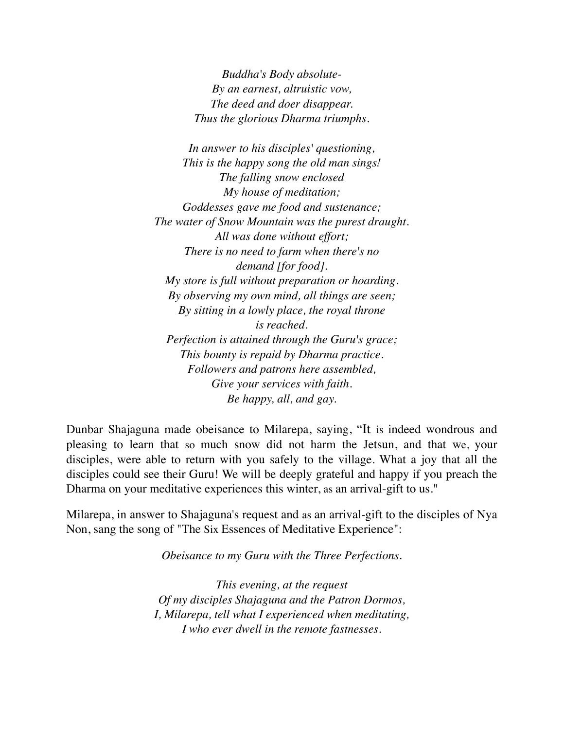*Buddha's Body absolute-By an earnest, altruistic vow, The deed and doer disappear. Thus the glorious Dharma triumphs.* 

*In answer to his disciples' questioning, This is the happy song the old man sings! The falling snow enclosed My house of meditation; Goddesses gave me food and sustenance; The water of Snow Mountain was the purest draught. All was done without effort; There is no need to farm when there's no demand [for food]. My store is full without preparation or hoarding. By observing my own mind, all things are seen; By sitting in a lowly place, the royal throne is reached. Perfection is attained through the Guru's grace; This bounty is repaid by Dharma practice. Followers and patrons here assembled, Give your services with faith. Be happy, all, and gay.* 

Dunbar Shajaguna made obeisance to Milarepa, saying, "It is indeed wondrous and pleasing to learn that so much snow did not harm the Jetsun, and that we, your disciples, were able to return with you safely to the village. What a joy that all the disciples could see their Guru! We will be deeply grateful and happy if you preach the Dharma on your meditative experiences this winter, as an arrival-gift to us."

Milarepa, in answer to Shajaguna's request and as an arrival-gift to the disciples of Nya Non, sang the song of "The Six Essences of Meditative Experience":

*Obeisance to my Guru with the Three Perfections.* 

*This evening, at the request Of my disciples Shajaguna and the Patron Dormos, I, Milarepa, tell what I experienced when meditating, I who ever dwell in the remote fastnesses.*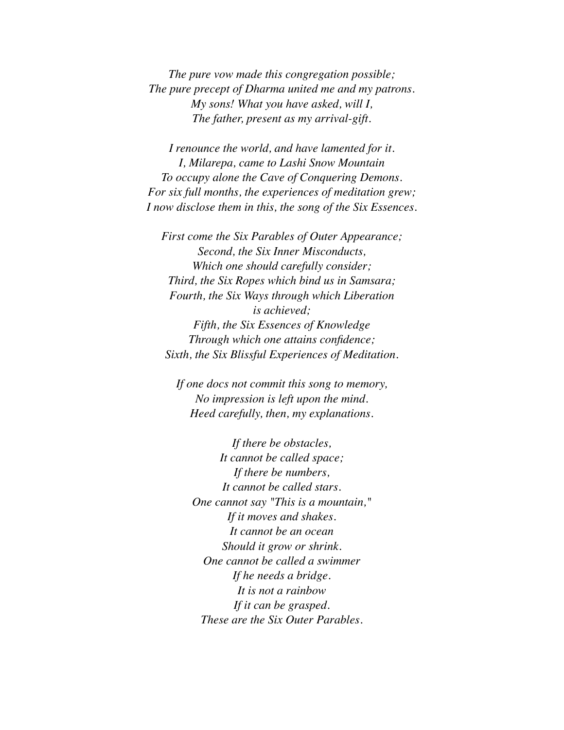*The pure vow made this congregation possible; The pure precept of Dharma united me and my patrons. My sons! What you have asked, will I, The father, present as my arrival-gift.* 

*I renounce the world, and have lamented for it. I, Milarepa, came to Lashi Snow Mountain To occupy alone the Cave of Conquering Demons. For six full months, the experiences of meditation grew; I now disclose them in this, the song of the Six Essences.* 

*First come the Six Parables of Outer Appearance; Second, the Six Inner Misconducts, Which one should carefully consider; Third, the Six Ropes which bind us in Samsara; Fourth, the Six Ways through which Liberation is achieved; Fifth, the Six Essences of Knowledge Through which one attains confidence; Sixth, the Six Blissful Experiences of Meditation.* 

*If one docs not commit this song to memory, No impression is left upon the mind. Heed carefully, then, my explanations.* 

*If there be obstacles, It cannot be called space; If there be numbers, It cannot be called stars. One cannot say "This is a mountain," If it moves and shakes. It cannot be an ocean Should it grow or shrink. One cannot be called a swimmer If he needs a bridge. It is not a rainbow If it can be grasped. These are the Six Outer Parables.*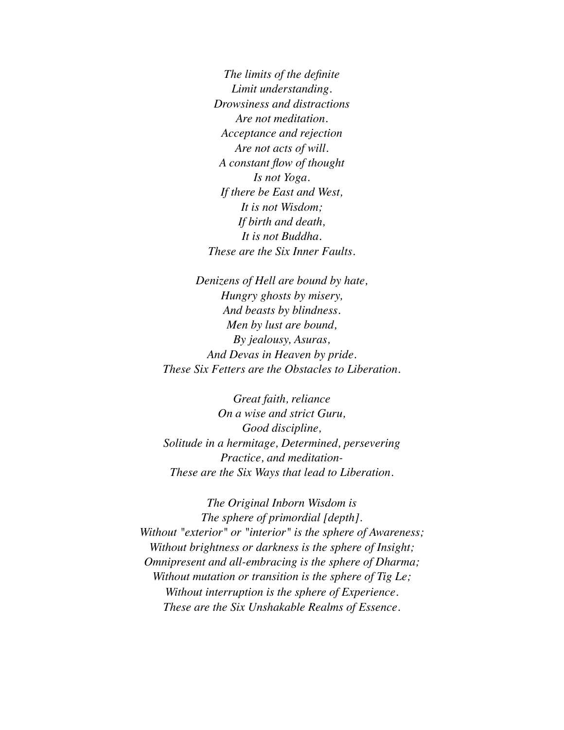*The limits of the definite Limit understanding. Drowsiness and distractions Are not meditation. Acceptance and rejection Are not acts of will. A constant flow of thought Is not Yoga. If there be East and West, It is not Wisdom; If birth and death, It is not Buddha. These are the Six Inner Faults.* 

*Denizens of Hell are bound by hate, Hungry ghosts by misery, And beasts by blindness. Men by lust are bound, By jealousy, Asuras, And Devas in Heaven by pride. These Six Fetters are the Obstacles to Liberation.* 

*Great faith, reliance On a wise and strict Guru, Good discipline, Solitude in a hermitage, Determined, persevering Practice, and meditation-These are the Six Ways that lead to Liberation.* 

*The Original Inborn Wisdom is The sphere of primordial [depth]. Without "exterior" or "interior" is the sphere of Awareness; Without brightness or darkness is the sphere of Insight; Omnipresent and all-embracing is the sphere of Dharma; Without mutation or transition is the sphere of Tig Le; Without interruption is the sphere of Experience. These are the Six Unshakable Realms of Essence.*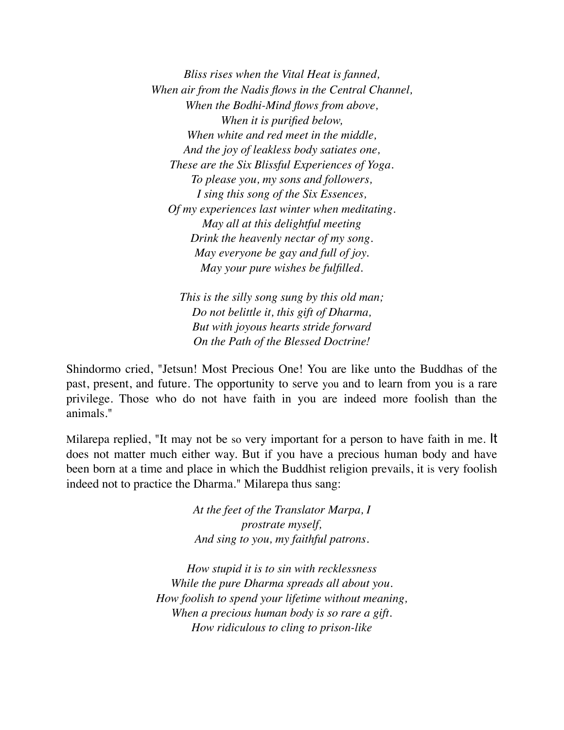*Bliss rises when the Vital Heat is fanned, When air from the Nadis flows in the Central Channel, When the Bodhi-Mind flows from above, When it is purified below, When white and red meet in the middle, And the joy of leakless body satiates one, These are the Six Blissful Experiences of Yoga. To please you, my sons and followers, I sing this song of the Six Essences, Of my experiences last winter when meditating. May all at this delightful meeting Drink the heavenly nectar of my song. May everyone be gay and full of joy. May your pure wishes be fulfilled.* 

> *This is the silly song sung by this old man; Do not belittle it, this gift of Dharma, But with joyous hearts stride forward On the Path of the Blessed Doctrine!*

Shindormo cried, "Jetsun! Most Precious One! You are like unto the Buddhas of the past, present, and future. The opportunity to serve you and to learn from you is a rare privilege. Those who do not have faith in you are indeed more foolish than the animals."

Milarepa replied, "It may not be so very important for a person to have faith in me. It does not matter much either way. But if you have a precious human body and have been born at a time and place in which the Buddhist religion prevails, it is very foolish indeed not to practice the Dharma." Milarepa thus sang:

> *At the feet of the Translator Marpa, I prostrate myself, And sing to you, my faithful patrons.*

*How stupid it is to sin with recklessness While the pure Dharma spreads all about you. How foolish to spend your lifetime without meaning, When a precious human body is so rare a gift. How ridiculous to cling to prison-like*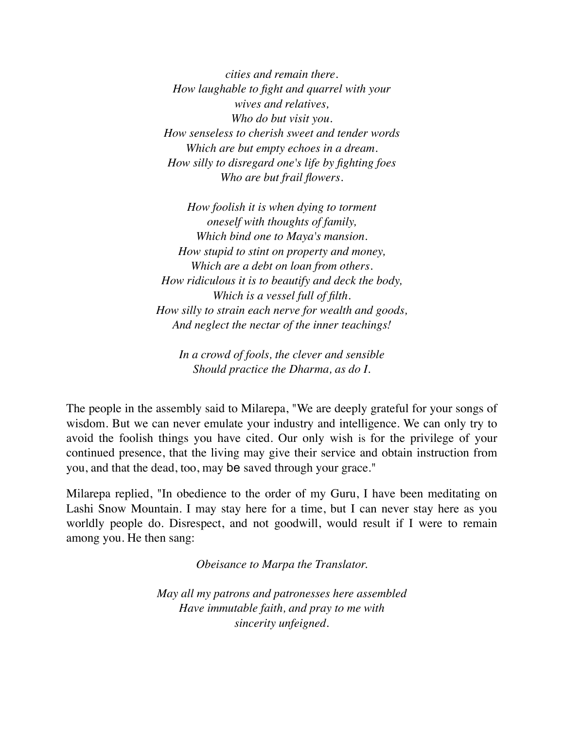*cities and remain there. How laughable to fight and quarrel with your wives and relatives, Who do but visit you. How senseless to cherish sweet and tender words Which are but empty echoes in a dream. How silly to disregard one's life by fighting foes Who are but frail flowers.* 

*How foolish it is when dying to torment oneself with thoughts of family, Which bind one to Maya's mansion. How stupid to stint on property and money, Which are a debt on loan from others. How ridiculous it is to beautify and deck the body, Which is a vessel full of filth. How silly to strain each nerve for wealth and goods, And neglect the nectar of the inner teachings!* 

*In a crowd of fools, the clever and sensible Should practice the Dharma, as do I.* 

The people in the assembly said to Milarepa, "We are deeply grateful for your songs of wisdom. But we can never emulate your industry and intelligence. We can only try to avoid the foolish things you have cited. Our only wish is for the privilege of your continued presence, that the living may give their service and obtain instruction from you, and that the dead, too, may be saved through your grace."

Milarepa replied, "In obedience to the order of my Guru, I have been meditating on Lashi Snow Mountain. I may stay here for a time, but I can never stay here as you worldly people do. Disrespect, and not goodwill, would result if I were to remain among you. He then sang:

*Obeisance to Marpa the Translator.* 

*May all my patrons and patronesses here assembled Have immutable faith, and pray to me with sincerity unfeigned.*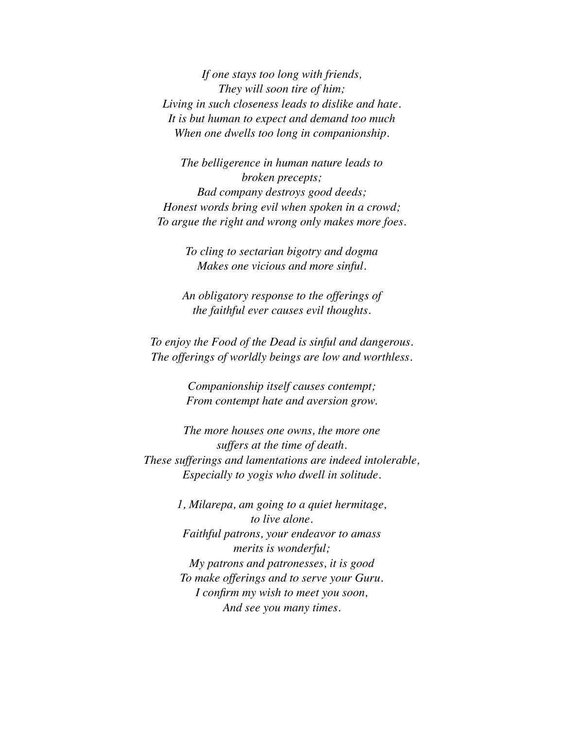*If one stays too long with friends, They will soon tire of him; Living in such closeness leads to dislike and hate. It is but human to expect and demand too much When one dwells too long in companionship.* 

*The belligerence in human nature leads to broken precepts; Bad company destroys good deeds; Honest words bring evil when spoken in a crowd; To argue the right and wrong only makes more foes.* 

> *To cling to sectarian bigotry and dogma Makes one vicious and more sinful.*

*An obligatory response to the offerings of the faithful ever causes evil thoughts.* 

*To enjoy the Food of the Dead is sinful and dangerous. The offerings of worldly beings are low and worthless.* 

> *Companionship itself causes contempt; From contempt hate and aversion grow.*

*The more houses one owns, the more one suffers at the time of death. These sufferings and lamentations are indeed intolerable, Especially to yogis who dwell in solitude.* 

> *1, Milarepa, am going to a quiet hermitage, to live alone. Faithful patrons, your endeavor to amass merits is wonderful; My patrons and patronesses, it is good To make offerings and to serve your Guru. I confirm my wish to meet you soon, And see you many times.*